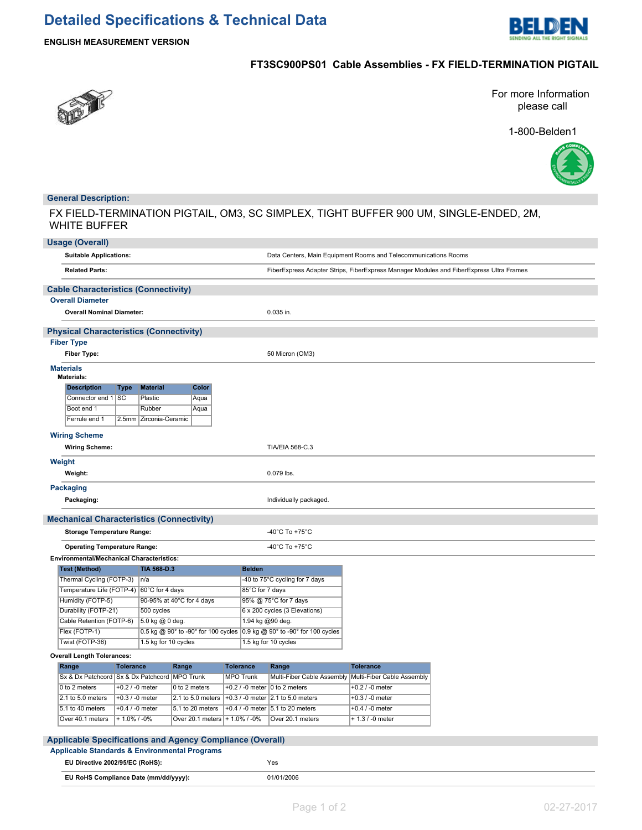

**ENGLISH MEASUREMENT VERSION**

## **FT3SC900PS01 Cable Assemblies - FX FIELD-TERMINATION PIGTAIL**



For more Information please call

1-800-Belden1



## **General Description:**

FX FIELD-TERMINATION PIGTAIL, OM3, SC SIMPLEX, TIGHT BUFFER 900 UM, SINGLE-ENDED, 2M, WHITE BUFFER

|                                   | <b>Usage (Overall)</b>                                                                   |                                     |                        |                                                     |                               |                  |                                                         |                                                                 |                                                                                         |
|-----------------------------------|------------------------------------------------------------------------------------------|-------------------------------------|------------------------|-----------------------------------------------------|-------------------------------|------------------|---------------------------------------------------------|-----------------------------------------------------------------|-----------------------------------------------------------------------------------------|
|                                   | <b>Suitable Applications:</b>                                                            |                                     |                        |                                                     |                               |                  |                                                         | Data Centers, Main Equipment Rooms and Telecommunications Rooms |                                                                                         |
|                                   | <b>Related Parts:</b>                                                                    |                                     |                        |                                                     |                               |                  |                                                         |                                                                 | FiberExpress Adapter Strips, FiberExpress Manager Modules and FiberExpress Ultra Frames |
|                                   | <b>Cable Characteristics (Connectivity)</b>                                              |                                     |                        |                                                     |                               |                  |                                                         |                                                                 |                                                                                         |
|                                   | <b>Overall Diameter</b>                                                                  |                                     |                        |                                                     |                               |                  |                                                         |                                                                 |                                                                                         |
|                                   | <b>Overall Nominal Diameter:</b>                                                         |                                     |                        |                                                     |                               |                  | 0.035 in.                                               |                                                                 |                                                                                         |
|                                   | <b>Physical Characteristics (Connectivity)</b>                                           |                                     |                        |                                                     |                               |                  |                                                         |                                                                 |                                                                                         |
|                                   | <b>Fiber Type</b>                                                                        |                                     |                        |                                                     |                               |                  |                                                         |                                                                 |                                                                                         |
|                                   | <b>Fiber Type:</b>                                                                       |                                     |                        |                                                     |                               |                  | 50 Micron (OM3)                                         |                                                                 |                                                                                         |
|                                   | <b>Materials</b><br>Materials:                                                           |                                     |                        |                                                     |                               |                  |                                                         |                                                                 |                                                                                         |
|                                   | <b>Description</b>                                                                       | Type                                | <b>Material</b>        | Color                                               |                               |                  |                                                         |                                                                 |                                                                                         |
|                                   | Connector end 1                                                                          | SC                                  | Plastic                | Aqua                                                |                               |                  |                                                         |                                                                 |                                                                                         |
|                                   | Boot end 1                                                                               |                                     | Rubber                 | Aqua                                                |                               |                  |                                                         |                                                                 |                                                                                         |
|                                   | Ferrule end 1                                                                            |                                     | 2.5mm Zirconia-Ceramic |                                                     |                               |                  |                                                         |                                                                 |                                                                                         |
|                                   | <b>Wiring Scheme</b>                                                                     |                                     |                        |                                                     |                               |                  |                                                         |                                                                 |                                                                                         |
|                                   | <b>Wiring Scheme:</b>                                                                    |                                     |                        |                                                     |                               |                  | TIA/EIA 568-C.3                                         |                                                                 |                                                                                         |
|                                   | Weight                                                                                   |                                     |                        |                                                     |                               |                  |                                                         |                                                                 |                                                                                         |
|                                   | Weight:                                                                                  |                                     |                        |                                                     |                               |                  | 0.079 lbs.                                              |                                                                 |                                                                                         |
|                                   | <b>Packaging</b>                                                                         |                                     |                        |                                                     |                               |                  |                                                         |                                                                 |                                                                                         |
|                                   | Packaging:                                                                               |                                     |                        |                                                     |                               |                  | Individually packaged.                                  |                                                                 |                                                                                         |
|                                   | <b>Mechanical Characteristics (Connectivity)</b>                                         |                                     |                        |                                                     |                               |                  |                                                         |                                                                 |                                                                                         |
|                                   | <b>Storage Temperature Range:</b>                                                        |                                     |                        |                                                     |                               |                  | -40°C To +75°C                                          |                                                                 |                                                                                         |
|                                   | <b>Operating Temperature Range:</b>                                                      |                                     |                        |                                                     |                               |                  | -40°C To +75°C                                          |                                                                 |                                                                                         |
|                                   | <b>Environmental/Mechanical Characteristics:</b>                                         |                                     |                        |                                                     |                               |                  |                                                         |                                                                 |                                                                                         |
|                                   | <b>Test (Method)</b>                                                                     |                                     | <b>TIA 568 D.3</b>     |                                                     |                               | <b>Belden</b>    |                                                         |                                                                 |                                                                                         |
|                                   | Thermal Cycling (FOTP-3)                                                                 |                                     | n/a                    |                                                     |                               |                  | -40 to 75°C cycling for 7 days                          |                                                                 |                                                                                         |
|                                   | Temperature Life (FOTP-4)                                                                |                                     | 60°C for 4 days        |                                                     |                               | 85°C for 7 days  |                                                         |                                                                 |                                                                                         |
|                                   | Humidity (FOTP-5)<br>90-95% at 40°C for 4 days                                           |                                     |                        | 95% @ 75°C for 7 days                               |                               |                  |                                                         |                                                                 |                                                                                         |
|                                   | Durability (FOTP-21)<br>500 cycles                                                       |                                     |                        |                                                     | 6 x 200 cycles (3 Elevations) |                  |                                                         |                                                                 |                                                                                         |
|                                   | Cable Retention (FOTP-6)<br>5.0 kg @ 0 deg.                                              |                                     | 1.94 kg @90 deg.       |                                                     |                               |                  |                                                         |                                                                 |                                                                                         |
|                                   | Flex (FOTP-1)<br>0.5 kg @ 90° to -90° for 100 cycles 0.9 kg @ 90° to -90° for 100 cycles |                                     |                        |                                                     |                               |                  |                                                         |                                                                 |                                                                                         |
|                                   | Twist (FOTP-36)<br>1.5 kg for 10 cycles                                                  |                                     |                        |                                                     | 1.5 kg for 10 cycles          |                  |                                                         |                                                                 |                                                                                         |
| <b>Overall Length Tolerances:</b> |                                                                                          |                                     |                        |                                                     |                               |                  |                                                         |                                                                 |                                                                                         |
|                                   | Range<br><b>Tolerance</b>                                                                |                                     |                        | Range                                               | <b>Tolerance</b>              |                  | Range                                                   | <b>Tolerance</b>                                                |                                                                                         |
|                                   | Sx & Dx Patchcord   Sx & Dx Patchcord   MPO Trunk                                        |                                     |                        |                                                     |                               | <b>MPO Trunk</b> |                                                         | Multi-Fiber Cable Assembly   Multi-Fiber Cable Assembly         |                                                                                         |
|                                   | 0 to 2 meters                                                                            | $+0.2 / -0$ meter                   |                        | 0 to 2 meters                                       |                               |                  | +0.2 / -0 meter $\vert$ 0 to 2 meters                   | $+0.2$ / -0 meter                                               |                                                                                         |
|                                   | 2.1 to 5.0 meters                                                                        | $+0.3/ -0$ meter                    |                        | $2.1$ to $5.0$ meters                               |                               |                  | $+0.3$ / -0 meter 2.1 to 5.0 meters                     | $+0.3/ -0$ meter                                                |                                                                                         |
|                                   | 5.1 to 40 meters<br>Over 40.1 meters                                                     | $+0.4$ / -0 meter<br>$+1.0\%$ / -0% |                        | 5.1 to 20 meters<br>Over 20.1 meters   + 1.0% / -0% |                               |                  | +0.4 / -0 meter $ 5.1$ to 20 meters<br>Over 20.1 meters | $+0.4 / -0$ meter<br>$+ 1.3 / -0$ meter                         |                                                                                         |
|                                   |                                                                                          |                                     |                        |                                                     |                               |                  |                                                         |                                                                 |                                                                                         |

### **Applicable Specifications and Agency Compliance (Overall)**

| Applicable opeculications and Agency Compilative (Overall) |            |
|------------------------------------------------------------|------------|
| <b>Applicable Standards &amp; Environmental Programs</b>   |            |
| EU Directive 2002/95/EC (RoHS):                            | Yes        |
| EU RoHS Compliance Date (mm/dd/yyyy):                      | 01/01/2006 |